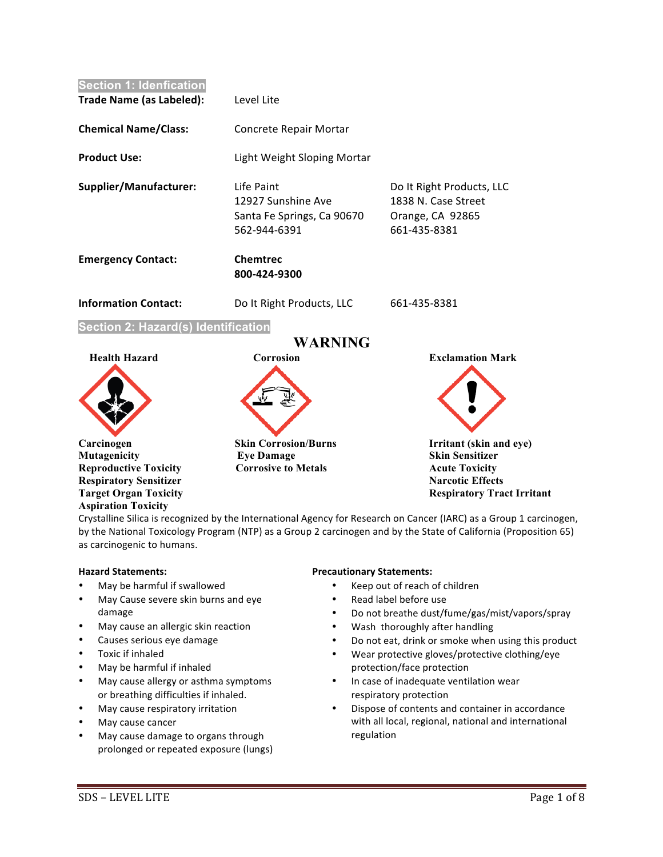

Crystalline Silica is recognized by the International Agency for Research on Cancer (IARC) as a Group 1 carcinogen, by the National Toxicology Program (NTP) as a Group 2 carcinogen and by the State of California (Proposition 65) as carcinogenic to humans.

# **Hazard Statements:**

- May be harmful if swallowed
- May Cause severe skin burns and eye damage
- May cause an allergic skin reaction
- Causes serious eye damage
- Toxic if inhaled
- May be harmful if inhaled
- May cause allergy or asthma symptoms or breathing difficulties if inhaled.
- May cause respiratory irritation
- May cause cancer
- May cause damage to organs through prolonged or repeated exposure (lungs)

### **Precautionary Statements:**

- Keep out of reach of children
- Read label before use
- Do not breathe dust/fume/gas/mist/vapors/spray
- Wash thoroughly after handling
- Do not eat, drink or smoke when using this product
- Wear protective gloves/protective clothing/eye protection/face protection
- In case of inadequate ventilation wear respiratory protection
- Dispose of contents and container in accordance with all local, regional, national and international regulation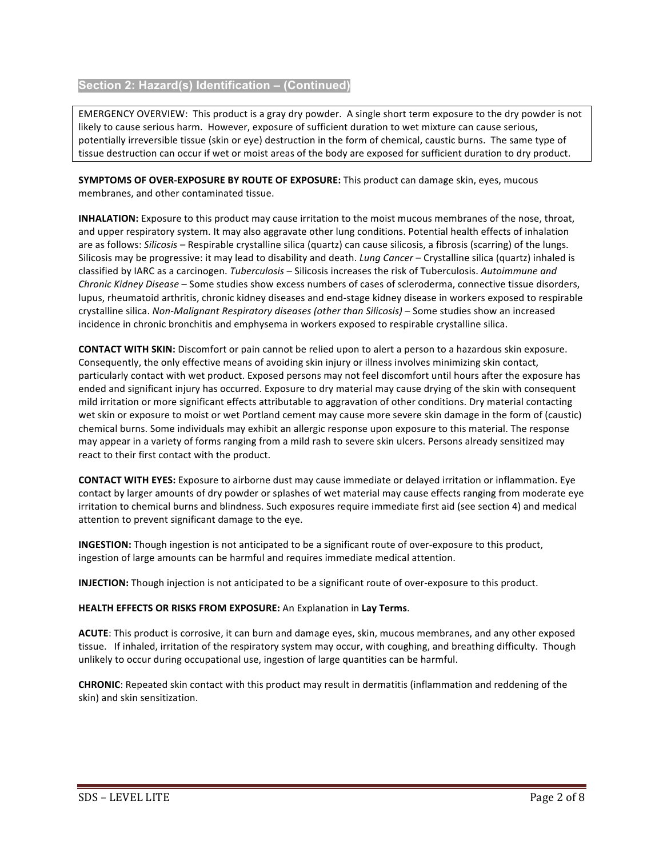# **Section 2: Hazard(s) Identification – (Continued)**

EMERGENCY OVERVIEW: This product is a gray dry powder. A single short term exposure to the dry powder is not likely to cause serious harm. However, exposure of sufficient duration to wet mixture can cause serious, potentially irreversible tissue (skin or eye) destruction in the form of chemical, caustic burns. The same type of tissue destruction can occur if wet or moist areas of the body are exposed for sufficient duration to dry product.

**SYMPTOMS OF OVER-EXPOSURE BY ROUTE OF EXPOSURE:** This product can damage skin, eyes, mucous membranes, and other contaminated tissue.

**INHALATION:** Exposure to this product may cause irritation to the moist mucous membranes of the nose, throat, and upper respiratory system. It may also aggravate other lung conditions. Potential health effects of inhalation are as follows: Silicosis – Respirable crystalline silica (quartz) can cause silicosis, a fibrosis (scarring) of the lungs. Silicosis may be progressive: it may lead to disability and death. *Lung Cancer* – Crystalline silica (quartz) inhaled is classified by IARC as a carcinogen. *Tuberculosis* – Silicosis increases the risk of Tuberculosis. Autoimmune and *Chronic Kidney Disease* – Some studies show excess numbers of cases of scleroderma, connective tissue disorders, lupus, rheumatoid arthritis, chronic kidney diseases and end-stage kidney disease in workers exposed to respirable crystalline silica. Non-Malignant Respiratory diseases (other than Silicosis) – Some studies show an increased incidence in chronic bronchitis and emphysema in workers exposed to respirable crystalline silica.

**CONTACT WITH SKIN:** Discomfort or pain cannot be relied upon to alert a person to a hazardous skin exposure. Consequently, the only effective means of avoiding skin injury or illness involves minimizing skin contact, particularly contact with wet product. Exposed persons may not feel discomfort until hours after the exposure has ended and significant injury has occurred. Exposure to dry material may cause drying of the skin with consequent mild irritation or more significant effects attributable to aggravation of other conditions. Dry material contacting wet skin or exposure to moist or wet Portland cement may cause more severe skin damage in the form of (caustic) chemical burns. Some individuals may exhibit an allergic response upon exposure to this material. The response may appear in a variety of forms ranging from a mild rash to severe skin ulcers. Persons already sensitized may react to their first contact with the product.

**CONTACT WITH EYES:** Exposure to airborne dust may cause immediate or delayed irritation or inflammation. Eye contact by larger amounts of dry powder or splashes of wet material may cause effects ranging from moderate eye irritation to chemical burns and blindness. Such exposures require immediate first aid (see section 4) and medical attention to prevent significant damage to the eye.

**INGESTION:** Though ingestion is not anticipated to be a significant route of over-exposure to this product, ingestion of large amounts can be harmful and requires immediate medical attention.

**INJECTION:** Though injection is not anticipated to be a significant route of over-exposure to this product.

# **HEALTH EFFECTS OR RISKS FROM EXPOSURE:** An Explanation in **Lay Terms**.

**ACUTE:** This product is corrosive, it can burn and damage eyes, skin, mucous membranes, and any other exposed tissue. If inhaled, irritation of the respiratory system may occur, with coughing, and breathing difficulty. Though unlikely to occur during occupational use, ingestion of large quantities can be harmful.

**CHRONIC**: Repeated skin contact with this product may result in dermatitis (inflammation and reddening of the skin) and skin sensitization.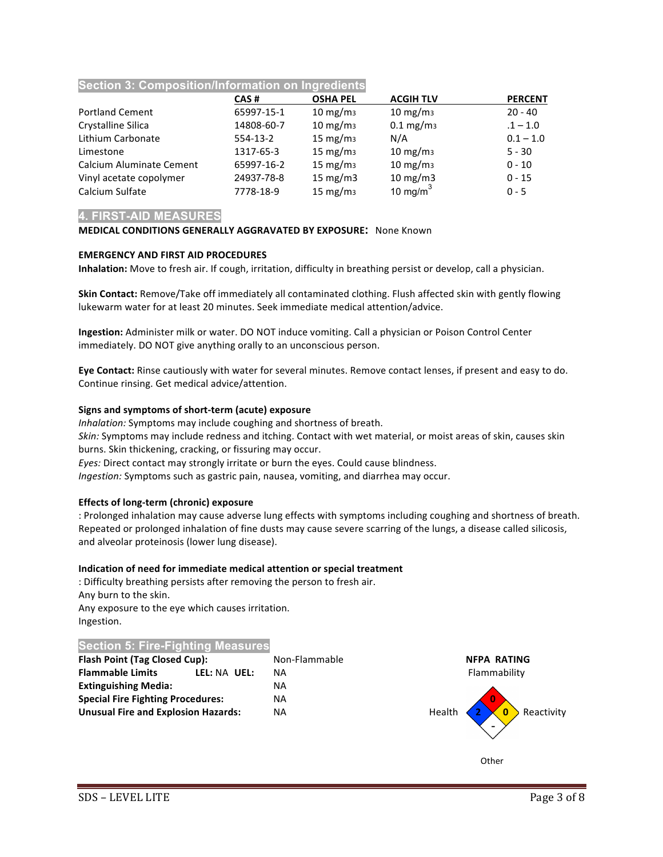# **Section 3: Composition/Information on Ingredients**

|                          | CAS#       | <b>OSHA PEL</b>     | <b>ACGIH TLV</b>    | <b>PERCENT</b> |
|--------------------------|------------|---------------------|---------------------|----------------|
| <b>Portland Cement</b>   | 65997-15-1 | $10 \text{ mg/m}$   | $10 \text{ mg/m}$   | $20 - 40$      |
| Crystalline Silica       | 14808-60-7 | $10 \text{ mg/m}$   | $0.1 \text{ mg/m}$  | $.1 - 1.0$     |
| Lithium Carbonate        | $554-13-2$ | $15 \text{ mg/m}$   | N/A                 | $0.1 - 1.0$    |
| Limestone                | 1317-65-3  | $15 \text{ mg/m}_3$ | $10 \text{ mg/m}$   | $5 - 30$       |
| Calcium Aluminate Cement | 65997-16-2 | $15 \text{ mg/m}$   | $10 \text{ mg/m}$   | $0 - 10$       |
| Vinyl acetate copolymer  | 24937-78-8 | 15 mg/m $3$         | $10 \text{ mg/m}$ 3 | $0 - 15$       |
| Calcium Sulfate          | 7778-18-9  | $15 \text{ mg/m}$   | 10 mg/m $3$         | $0 - 5$        |

# **4. FIRST-AID MEASURES**

# **MEDICAL CONDITIONS GENERALLY AGGRAVATED BY EXPOSURE:** None Known

# **EMERGENCY AND FIRST AID PROCEDURES**

**Inhalation:** Move to fresh air. If cough, irritation, difficulty in breathing persist or develop, call a physician.

**Skin Contact:** Remove/Take off immediately all contaminated clothing. Flush affected skin with gently flowing lukewarm water for at least 20 minutes. Seek immediate medical attention/advice.

**Ingestion:** Administer milk or water. DO NOT induce vomiting. Call a physician or Poison Control Center immediately. DO NOT give anything orally to an unconscious person.

**Eye Contact:** Rinse cautiously with water for several minutes. Remove contact lenses, if present and easy to do. Continue rinsing. Get medical advice/attention.

### **Signs and symptoms of short-term (acute) exposure**

*Inhalation:* Symptoms may include coughing and shortness of breath. *Skin:* Symptoms may include redness and itching. Contact with wet material, or moist areas of skin, causes skin burns. Skin thickening, cracking, or fissuring may occur. *Eyes:* Direct contact may strongly irritate or burn the eyes. Could cause blindness. *Ingestion:* Symptoms such as gastric pain, nausea, vomiting, and diarrhea may occur.

### **Effects of long-term (chronic) exposure**

: Prolonged inhalation may cause adverse lung effects with symptoms including coughing and shortness of breath. Repeated or prolonged inhalation of fine dusts may cause severe scarring of the lungs, a disease called silicosis, and alveolar proteinosis (lower lung disease).

### **Indication of need for immediate medical attention or special treatment**

: Difficulty breathing persists after removing the person to fresh air. Any burn to the skin. Any exposure to the eye which causes irritation. Ingestion.

# **Section 5: Fire-Fighting Measures**

| <b>Flash Point (Tag Closed Cup):</b>       |              | Non-Flammable | <b>NFPA RATING</b>    |
|--------------------------------------------|--------------|---------------|-----------------------|
| <b>Flammable Limits</b>                    | LEL: NA UEL: | ΝA            | Flammability          |
| <b>Extinguishing Media:</b>                |              | <b>NA</b>     |                       |
| <b>Special Fire Fighting Procedures:</b>   |              | <b>NA</b>     |                       |
| <b>Unusual Fire and Explosion Hazards:</b> |              | <b>NA</b>     | Health 2 0 Reactivity |

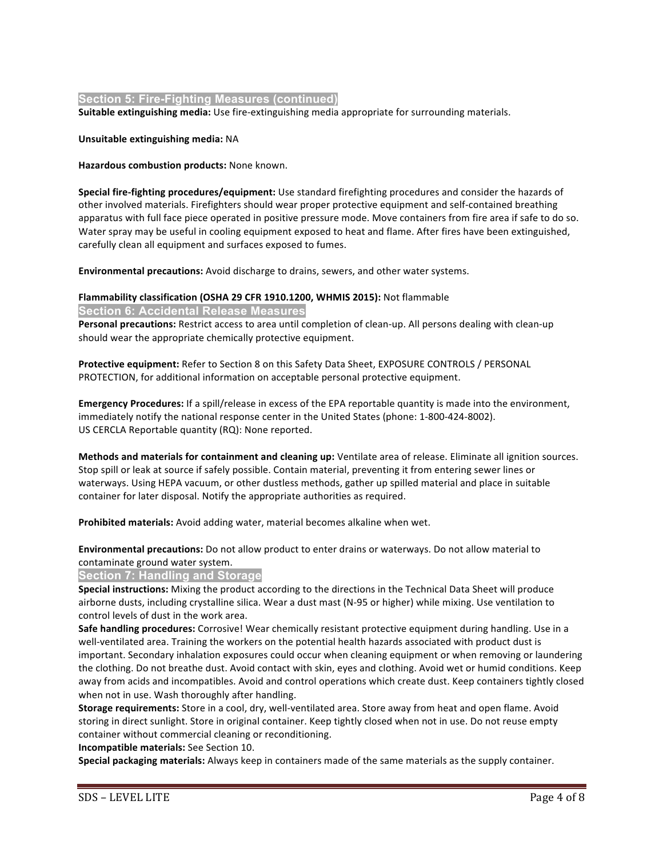# **Section 5: Fire-Fighting Measures (continued)**

**Suitable extinguishing media:** Use fire-extinguishing media appropriate for surrounding materials.

### **Unsuitable extinguishing media:** NA

**Hazardous combustion products:** None known.

**Special fire-fighting procedures/equipment:** Use standard firefighting procedures and consider the hazards of other involved materials. Firefighters should wear proper protective equipment and self-contained breathing apparatus with full face piece operated in positive pressure mode. Move containers from fire area if safe to do so. Water spray may be useful in cooling equipment exposed to heat and flame. After fires have been extinguished, carefully clean all equipment and surfaces exposed to fumes.

**Environmental precautions:** Avoid discharge to drains, sewers, and other water systems.

### **Flammability classification (OSHA 29 CFR 1910.1200, WHMIS 2015): Not flammable**

### **Section 6: Accidental Release Measures**

**Personal precautions:** Restrict access to area until completion of clean-up. All persons dealing with clean-up should wear the appropriate chemically protective equipment.

**Protective equipment:** Refer to Section 8 on this Safety Data Sheet, EXPOSURE CONTROLS / PERSONAL PROTECTION, for additional information on acceptable personal protective equipment.

**Emergency Procedures:** If a spill/release in excess of the EPA reportable quantity is made into the environment, immediately notify the national response center in the United States (phone: 1-800-424-8002). US CERCLA Reportable quantity (RQ): None reported.

**Methods and materials for containment and cleaning up:** Ventilate area of release. Eliminate all ignition sources. Stop spill or leak at source if safely possible. Contain material, preventing it from entering sewer lines or waterways. Using HEPA vacuum, or other dustless methods, gather up spilled material and place in suitable container for later disposal. Notify the appropriate authorities as required.

Prohibited materials: Avoid adding water, material becomes alkaline when wet.

**Environmental precautions:** Do not allow product to enter drains or waterways. Do not allow material to contaminate ground water system.

# **Section 7: Handling and Storage**

**Special instructions:** Mixing the product according to the directions in the Technical Data Sheet will produce airborne dusts, including crystalline silica. Wear a dust mast (N-95 or higher) while mixing. Use ventilation to control levels of dust in the work area.

Safe handling procedures: Corrosive! Wear chemically resistant protective equipment during handling. Use in a well-ventilated area. Training the workers on the potential health hazards associated with product dust is important. Secondary inhalation exposures could occur when cleaning equipment or when removing or laundering the clothing. Do not breathe dust. Avoid contact with skin, eyes and clothing. Avoid wet or humid conditions. Keep away from acids and incompatibles. Avoid and control operations which create dust. Keep containers tightly closed when not in use. Wash thoroughly after handling.

**Storage requirements:** Store in a cool, dry, well-ventilated area. Store away from heat and open flame. Avoid storing in direct sunlight. Store in original container. Keep tightly closed when not in use. Do not reuse empty container without commercial cleaning or reconditioning.

**Incompatible materials:** See Section 10.

**Special packaging materials:** Always keep in containers made of the same materials as the supply container.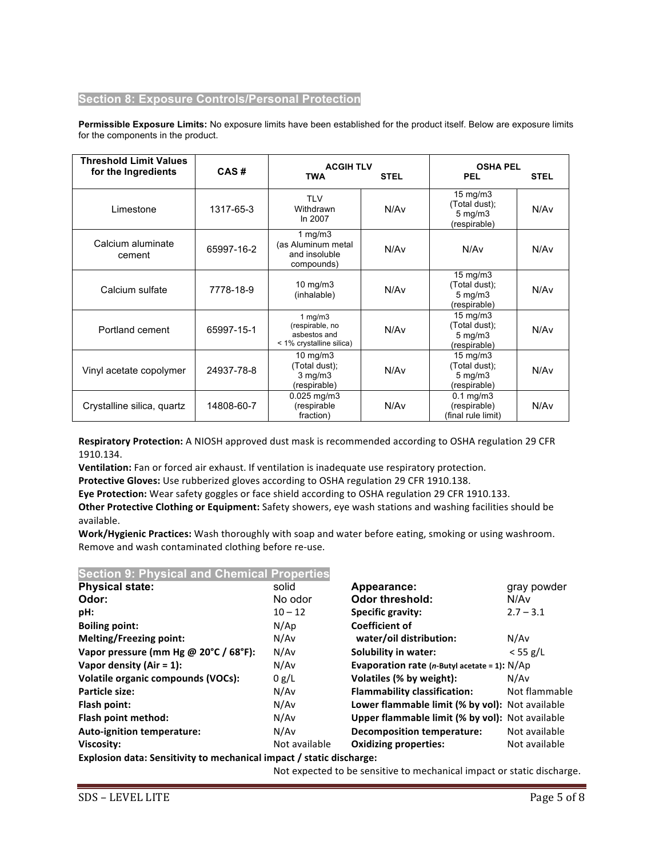# **Section 8: Exposure Controls/Personal Protection**

**Permissible Exposure Limits:** No exposure limits have been established for the product itself. Below are exposure limits for the components in the product.

| <b>Threshold Limit Values</b><br>for the Ingredients | CAS#       | <b>ACGIH TLV</b><br><b>TWA</b>                                           | <b>STEL</b> | <b>OSHA PEL</b><br><b>PEL</b>                                            | <b>STEL</b> |
|------------------------------------------------------|------------|--------------------------------------------------------------------------|-------------|--------------------------------------------------------------------------|-------------|
| Limestone                                            | 1317-65-3  | <b>TLV</b><br>Withdrawn<br>In 2007                                       | N/Av        | $15 \text{ mg/m}$<br>(Total dust);<br>$5 \text{ mg/m}$ 3<br>(respirable) | N/Av        |
| Calcium aluminate<br>cement                          | 65997-16-2 | 1 $mg/m3$<br>(as Aluminum metal<br>and insoluble<br>compounds)           | N/Av        | N/Av                                                                     | N/Av        |
| Calcium sulfate                                      | 7778-18-9  | $10$ mg/m $3$<br>(inhalable)                                             | N/Av        | $15 \text{ mg/m}$<br>(Total dust);<br>$5$ mg/m $3$<br>(respirable)       | N/Av        |
| Portland cement                                      | 65997-15-1 | 1 $mg/m3$<br>(respirable, no<br>asbestos and<br>< 1% crystalline silica) | N/Av        | $15 \text{ mg/m}$<br>(Total dust);<br>$5 \text{ mg/m}$ 3<br>(respirable) | N/Av        |
| Vinyl acetate copolymer                              | 24937-78-8 | $10 \text{ mg/m}$<br>(Total dust);<br>$3$ mg/m $3$<br>(respirable)       | N/Av        | $15 \text{ mg/m}$<br>(Total dust);<br>$5 \text{ mg/m}$ 3<br>(respirable) | N/Av        |
| Crystalline silica, quartz                           | 14808-60-7 | $0.025$ mg/m3<br>(respirable<br>fraction)                                | N/Av        | $0.1$ mg/m $3$<br>(respirable)<br>(final rule limit)                     | N/Av        |

**Respiratory Protection:** A NIOSH approved dust mask is recommended according to OSHA regulation 29 CFR 1910.134.

**Ventilation:** Fan or forced air exhaust. If ventilation is inadequate use respiratory protection.

Protective Gloves: Use rubberized gloves according to OSHA regulation 29 CFR 1910.138.

**Eye Protection:** Wear safety goggles or face shield according to OSHA regulation 29 CFR 1910.133.

**Other Protective Clothing or Equipment:** Safety showers, eye wash stations and washing facilities should be available.

Work/Hygienic Practices: Wash thoroughly with soap and water before eating, smoking or using washroom. Remove and wash contaminated clothing before re-use.

# **Section 9: Physical and Chemical Properties**

| <b>Physical state:</b>                | solid         | Appearance:                                                      | gray powder   |
|---------------------------------------|---------------|------------------------------------------------------------------|---------------|
| Odor:                                 | No odor       | Odor threshold:                                                  | N/Av          |
| pH:                                   | $10 - 12$     | <b>Specific gravity:</b>                                         | $2.7 - 3.1$   |
| <b>Boiling point:</b>                 | N/Ap          | <b>Coefficient of</b>                                            |               |
| <b>Melting/Freezing point:</b>        | N/Av          | water/oil distribution:                                          | N/Av          |
| Vapor pressure (mm Hg @ 20°C / 68°F): | N/Av          | Solubility in water:                                             | $<$ 55 g/L    |
| Vapor density (Air = $1$ ):           | N/Av          | <b>Evaporation rate (n-Butyl acetate = 1): <math>N/Ap</math></b> |               |
| Volatile organic compounds (VOCs):    | 0 g/L         | Volatiles (% by weight):                                         | N/Av          |
| Particle size:                        | N/Av          | <b>Flammability classification:</b>                              | Not flammable |
| Flash point:                          | N/Av          | Lower flammable limit (% by vol): Not available                  |               |
| Flash point method:                   | N/Av          | Upper flammable limit (% by vol): Not available                  |               |
| <b>Auto-ignition temperature:</b>     | N/Av          | <b>Decomposition temperature:</b>                                | Not available |
| Viscosity:                            | Not available | <b>Oxidizing properties:</b>                                     | Not available |
|                                       |               |                                                                  |               |

**Explosion data: Sensitivity to mechanical impact / static discharge:** 

Not expected to be sensitive to mechanical impact or static discharge.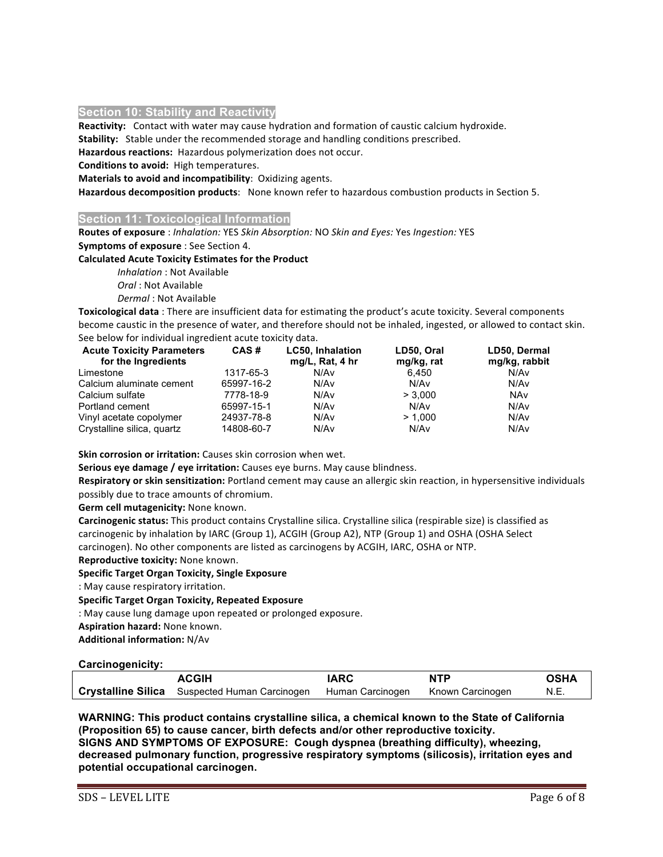## **Section 10: Stability and Reactivity**

**Reactivity:** Contact with water may cause hydration and formation of caustic calcium hydroxide.

**Stability:** Stable under the recommended storage and handling conditions prescribed.

Hazardous reactions: Hazardous polymerization does not occur.

**Conditions to avoid:** High temperatures.

**Materials to avoid and incompatibility:** Oxidizing agents.

Hazardous decomposition products: None known refer to hazardous combustion products in Section 5.

### **Section 11: Toxicological Information**

Routes of exposure : Inhalation: YES Skin Absorption: NO Skin and Eyes: Yes Ingestion: YES **Symptoms of exposure** : See Section 4.

### **Calculated Acute Toxicity Estimates for the Product**

*Inhalation* : Not Available 

*Oral*: Not Available

**Dermal**: Not Available

**Toxicological data** : There are insufficient data for estimating the product's acute toxicity. Several components become caustic in the presence of water, and therefore should not be inhaled, ingested, or allowed to contact skin. See below for individual ingredient acute toxicity data.

| <b>Acute Toxicity Parameters</b><br>for the Ingredients | CAS#       | <b>LC50, Inhalation</b><br>mg/L, Rat, 4 hr | LD50, Oral<br>mg/kg, rat | LD50, Dermal<br>mg/kg, rabbit |
|---------------------------------------------------------|------------|--------------------------------------------|--------------------------|-------------------------------|
| Limestone                                               | 1317-65-3  | N/Av                                       | 6.450                    | N/Av                          |
| Calcium aluminate cement                                | 65997-16-2 | N/Av                                       | N/Av                     | N/Av                          |
| Calcium sulfate                                         | 7778-18-9  | N/Av                                       | > 3.000                  | NAv                           |
| Portland cement                                         | 65997-15-1 | N/Av                                       | N/Av                     | N/Av                          |
| Vinyl acetate copolymer                                 | 24937-78-8 | N/Av                                       | > 1.000                  | N/Av                          |
| Crystalline silica, quartz                              | 14808-60-7 | N/Av                                       | N/Av                     | N/Av                          |

**Skin corrosion or irritation:** Causes skin corrosion when wet.

**Serious eye damage / eye irritation:** Causes eye burns. May cause blindness.

Respiratory or skin sensitization: Portland cement may cause an allergic skin reaction, in hypersensitive individuals possibly due to trace amounts of chromium.

**Germ cell mutagenicity:** None known.

Carcinogenic status: This product contains Crystalline silica. Crystalline silica (respirable size) is classified as carcinogenic by inhalation by IARC (Group 1), ACGIH (Group A2), NTP (Group 1) and OSHA (OSHA Select carcinogen). No other components are listed as carcinogens by ACGIH, IARC, OSHA or NTP.

# **Reproductive toxicity:** None known.

# **Specific Target Organ Toxicity, Single Exposure**

: May cause respiratory irritation.

# **Specific Target Organ Toxicity, Repeated Exposure**

: May cause lung damage upon repeated or prolonged exposure.

**Aspiration hazard:** None known.

**Additional information: N/Av** 

# **Carcinogenicity:**

| <b>ACGIH</b>                                                                    | <b>IARC</b> | <b>NTP</b> | <b>OSHA</b> |
|---------------------------------------------------------------------------------|-------------|------------|-------------|
| Crystalline Silica Suspected Human Carcinogen Human Carcinogen Known Carcinogen |             |            | N.E.        |

**WARNING: This product contains crystalline silica, a chemical known to the State of California (Proposition 65) to cause cancer, birth defects and/or other reproductive toxicity. SIGNS AND SYMPTOMS OF EXPOSURE: Cough dyspnea (breathing difficulty), wheezing, decreased pulmonary function, progressive respiratory symptoms (silicosis), irritation eyes and potential occupational carcinogen.**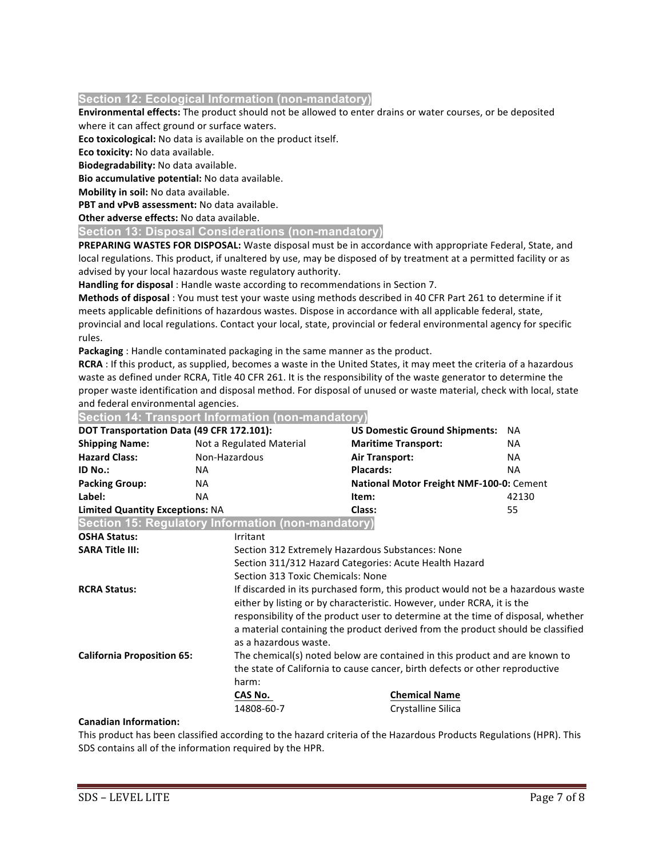# **Section 12: Ecological Information (non-mandatory)**

**Environmental effects:** The product should not be allowed to enter drains or water courses, or be deposited where it can affect ground or surface waters.

**Eco toxicological:** No data is available on the product itself.

**Eco toxicity:** No data available.

**Biodegradability:** No data available.

**Bio accumulative potential:** No data available.

**Mobility in soil:** No data available.

**PBT and vPvB assessment:** No data available.

**Other adverse effects: No data available.** 

**Section 13: Disposal Considerations (non-mandatory)**

**PREPARING WASTES FOR DISPOSAL:** Waste disposal must be in accordance with appropriate Federal, State, and local regulations. This product, if unaltered by use, may be disposed of by treatment at a permitted facility or as advised by your local hazardous waste regulatory authority.

Handling for disposal : Handle waste according to recommendations in Section 7.

Methods of disposal : You must test your waste using methods described in 40 CFR Part 261 to determine if it meets applicable definitions of hazardous wastes. Dispose in accordance with all applicable federal, state, provincial and local regulations. Contact your local, state, provincial or federal environmental agency for specific rules. 

Packaging : Handle contaminated packaging in the same manner as the product.

**RCRA**: If this product, as supplied, becomes a waste in the United States, it may meet the criteria of a hazardous waste as defined under RCRA, Title 40 CFR 261. It is the responsibility of the waste generator to determine the proper waste identification and disposal method. For disposal of unused or waste material, check with local, state and federal environmental agencies.

### **Section 14: Transport Information (non-mandatory)**

|                                        | DOT Transportation Data (49 CFR 172.101):                  | <b>US Domestic Ground Shipments: NA</b>  |           |
|----------------------------------------|------------------------------------------------------------|------------------------------------------|-----------|
| <b>Shipping Name:</b>                  | Not a Regulated Material                                   | <b>Maritime Transport:</b>               | <b>NA</b> |
| <b>Hazard Class:</b>                   | Non-Hazardous                                              | Air Transport:                           | <b>NA</b> |
| ID No.:                                | NA.                                                        | <b>Placards:</b>                         | <b>NA</b> |
| <b>Packing Group:</b>                  | NA.                                                        | National Motor Freight NMF-100-0: Cement |           |
| Label:                                 | ΝA                                                         | Item:                                    | 42130     |
| <b>Limited Quantity Exceptions: NA</b> |                                                            | Class:                                   | 55        |
|                                        | $\beta$ Caction 15: Pequistory Information (non-mandatory) |                                          |           |

**Section 15: Regulatory Information (non-mandatory) OSHA Status:** Irritant **SARA Title III:** Section 312 Extremely Hazardous Substances: None Section 311/312 Hazard Categories: Acute Health Hazard Section 313 Toxic Chemicals: None **RCRA Status:** If discarded in its purchased form, this product would not be a hazardous waste either by listing or by characteristic. However, under RCRA, it is the responsibility of the product user to determine at the time of disposal, whether a material containing the product derived from the product should be classified as a hazardous waste. **California Proposition 65:** The chemical(s) noted below are contained in this product and are known to the state of California to cause cancer, birth defects or other reproductive harm: **CAS** No. **CAS** No. *CAS* No. *Chemical Name* 14808-60-7 Crystalline Silica

### **Canadian Information:**

This product has been classified according to the hazard criteria of the Hazardous Products Regulations (HPR). This SDS contains all of the information required by the HPR.